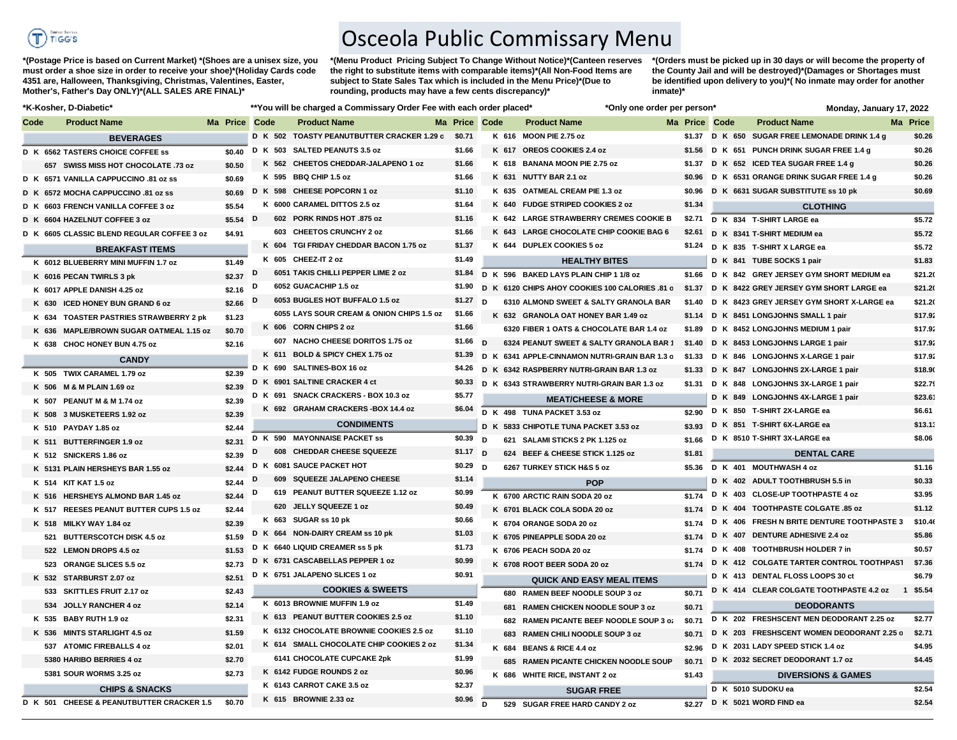

**\*(Postage Price is based on Current Market) \*(Shoes are a unisex size, you must order a shoe size in order to receive your shoe)\*(Holiday Cards code 4351 are, Halloween, Thanksgiving, Christmas, Valentines, Easter, Mother's, Father's Day ONLY)\*(ALL SALES ARE FINAL)\***

**\*(Menu Product Pricing Subject To Change Without Notice)\*(Canteen reserves the right to substitute items with comparable items)\*(All Non-Food Items are subject to State Sales Tax which is included in the Menu Price)\*(Due to rounding, products may have a few cents discrepancy)\*** 

Osceola Public Commissary Menu

**\*(Orders must be picked up in 30 days or will become the property of the County Jail and will be destroyed)\*(Damages or Shortages must be identified upon delivery to you)\*( No inmate may order for another inmate)\***

| *K-Kosher, D-Diabetic* |                                            |                  |   | **You will be charged a Commissary Order Fee with each order placed* |                       |   |       |                                                | *Only one order per person* |        |               | Monday, January 17, 2022                         |          |
|------------------------|--------------------------------------------|------------------|---|----------------------------------------------------------------------|-----------------------|---|-------|------------------------------------------------|-----------------------------|--------|---------------|--------------------------------------------------|----------|
| Code                   | <b>Product Name</b>                        | Ma Price Code    |   | <b>Product Name</b>                                                  | Ma Price Code         |   |       | <b>Product Name</b>                            |                             |        | Ma Price Code | <b>Product Name</b>                              | Ma Price |
|                        | <b>BEVERAGES</b>                           |                  |   | D K 502 TOASTY PEANUTBUTTER CRACKER 1.29 c \$0.71                    |                       |   |       | K 616 MOON PIE 2.75 oz                         |                             |        |               | \$1.37 D K 650 SUGAR FREE LEMONADE DRINK 1.4 g   | \$0.26   |
|                        | D K 6562 TASTERS CHOICE COFFEE SS          | \$0.40           |   | D K 503 SALTED PEANUTS 3.5 oz                                        | \$1.66                |   |       | K 617 OREOS COOKIES 2.4 oz                     |                             |        |               | \$1.56 D K 651 PUNCH DRINK SUGAR FREE 1.4 g      | \$0.26   |
|                        | 657 SWISS MISS HOT CHOCOLATE .73 oz        | \$0.50           |   | K 562 CHEETOS CHEDDAR-JALAPENO 1 oz                                  | \$1.66                |   |       | K 618 BANANA MOON PIE 2.75 oz                  |                             |        |               | \$1.37 D K 652 ICED TEA SUGAR FREE 1.4 g         | \$0.26   |
|                        | D K 6571 VANILLA CAPPUCCINO .81 oz ss      | \$0.69           |   | K 595 BBQ CHIP 1.5 oz                                                | \$1.66                |   | K 631 | <b>NUTTY BAR 2.1 oz</b>                        |                             | \$0.96 |               | D K 6531 ORANGE DRINK SUGAR FREE 1.4 g           | \$0.26   |
|                        | D K 6572 MOCHA CAPPUCCINO .81 oz ss        | \$0.69           |   | D K 598 CHEESE POPCORN 1 oz                                          | \$1.10                |   |       | K 635 OATMEAL CREAM PIE 1.3 oz                 |                             |        |               | \$0.96 D K 6631 SUGAR SUBSTITUTE ss 10 pk        | \$0.69   |
|                        | D K 6603 FRENCH VANILLA COFFEE 3 oz        | \$5.54           |   | K 6000 CARAMEL DITTOS 2.5 oz                                         | \$1.64                |   |       | K 640 FUDGE STRIPED COOKIES 2 oz               |                             | \$1.34 |               | <b>CLOTHING</b>                                  |          |
|                        | D K 6604 HAZELNUT COFFEE 3 oz              | $$5.54$ D        |   | 602 PORK RINDS HOT .875 oz                                           | \$1.16                |   |       | K 642 LARGE STRAWBERRY CREMES COOKIE B         |                             |        |               | \$2.71 D K 834 T-SHIRT LARGE ea                  | \$5.72   |
|                        | D K 6605 CLASSIC BLEND REGULAR COFFEE 3 oz | \$4.91           |   | 603 CHEETOS CRUNCHY 2 oz                                             | \$1.66                |   |       | K 643 LARGE CHOCOLATE CHIP COOKIE BAG 6        |                             | \$2.61 |               | D K 8341 T-SHIRT MEDIUM ea                       | \$5.72   |
|                        | <b>BREAKFAST ITEMS</b>                     |                  |   | K 604 TGI FRIDAY CHEDDAR BACON 1.75 oz                               | \$1.37                |   |       | K 644 DUPLEX COOKIES 5 oz                      |                             | \$1.24 |               | D K 835 T-SHIRT X LARGE ea                       | \$5.72   |
|                        | K 6012 BLUEBERRY MINI MUFFIN 1.7 oz        | \$1.49           |   | K 605 CHEEZ-IT 2 oz                                                  | \$1.49                |   |       | <b>HEALTHY BITES</b>                           |                             |        |               | D K 841 TUBE SOCKS 1 pair                        | \$1.83   |
|                        | K 6016 PECAN TWIRLS 3 pk                   | \$2.37           | D | 6051 TAKIS CHILLI PEPPER LIME 2 oz                                   | \$1.84                |   |       | D K 596 BAKED LAYS PLAIN CHIP 1 1/8 oz         |                             | \$1.66 |               | D K 842 GREY JERSEY GYM SHORT MEDIUM ea          | \$21.20  |
|                        | K 6017 APPLE DANISH 4.25 oz                | \$2.16           | D | 6052 GUACACHIP 1.5 oz                                                | \$1.90                |   |       | D K 6120 CHIPS AHOY COOKIES 100 CALORIES .81 c |                             |        |               | \$1.37 D K 8422 GREY JERSEY GYM SHORT LARGE ea   | \$21.20  |
|                        | K 630 ICED HONEY BUN GRAND 6 oz            | \$2.66           | D | 6053 BUGLES HOT BUFFALO 1.5 oz                                       | \$1.27                | D |       | 6310 ALMOND SWEET & SALTY GRANOLA BAR          |                             |        |               | \$1.40 D K 8423 GREY JERSEY GYM SHORT X-LARGE ea | \$21.20  |
|                        | K 634 TOASTER PASTRIES STRAWBERRY 2 pk     | \$1.23           |   | 6055 LAYS SOUR CREAM & ONION CHIPS 1.5 oz                            | \$1.66                |   |       | K 632 GRANOLA OAT HONEY BAR 1.49 oz            |                             |        |               | \$1.14 D K 8451 LONGJOHNS SMALL 1 pair           | \$17.92  |
|                        | K 636 MAPLE/BROWN SUGAR OATMEAL 1.15 oz    | \$0.70           |   | K 606 CORN CHIPS 2 oz                                                | \$1.66                |   |       | 6320 FIBER 1 OATS & CHOCOLATE BAR 1.4 oz       |                             |        |               | \$1.89 D K 8452 LONGJOHNS MEDIUM 1 pair          | \$17.92  |
|                        | K 638 CHOC HONEY BUN 4.75 oz               | \$2.16           |   | 607 NACHO CHEESE DORITOS 1.75 oz                                     | \$1.66 $\overline{D}$ |   |       | 6324 PEANUT SWEET & SALTY GRANOLA BAR 1        |                             |        |               | \$1.40 D K 8453 LONGJOHNS LARGE 1 pair           | \$17.92  |
|                        | <b>CANDY</b>                               |                  |   | K 611 BOLD & SPICY CHEX 1.75 oz                                      | \$1.39                |   |       | D K 6341 APPLE-CINNAMON NUTRI-GRAIN BAR 1.3 c  |                             |        |               | \$1.33 D K 846 LONGJOHNS X-LARGE 1 pair          | \$17.92  |
|                        | K 505 TWIX CARAMEL 1.79 oz                 | \$2.39           |   | D K 690 SALTINES-BOX 16 oz                                           | \$4.26                | D |       | K 6342 RASPBERRY NUTRI-GRAIN BAR 1.3 oz        |                             |        |               | \$1.33 D K 847 LONGJOHNS 2X-LARGE 1 pair         | \$18.90  |
|                        | K 506 M & M PLAIN 1.69 oz                  | \$2.39           |   | D K 6901 SALTINE CRACKER 4 ct                                        | \$0.33                |   |       | D K 6343 STRAWBERRY NUTRI-GRAIN BAR 1.3 oz     |                             | \$1.31 |               | D K 848 LONGJOHNS 3X-LARGE 1 pair                | \$22.79  |
|                        | K 507 PEANUT M & M 1.74 oz                 | \$2.39           |   | D K 691 SNACK CRACKERS - BOX 10.3 oz                                 | \$5.77                |   |       | <b>MEAT/CHEESE &amp; MORE</b>                  |                             |        |               | D K 849 LONGJOHNS 4X-LARGE 1 pair                | \$23.61  |
|                        | K 508 3 MUSKETEERS 1.92 oz                 | \$2.39           |   | K 692 GRAHAM CRACKERS-BOX 14.4 oz                                    | \$6.04                |   |       | D K 498 TUNA PACKET 3.53 oz                    |                             | \$2.90 |               | D K 850 T-SHIRT 2X-LARGE ea                      | \$6.61   |
|                        | K 510 PAYDAY 1.85 oz                       | \$2.44           |   | <b>CONDIMENTS</b>                                                    |                       |   |       | D K 5833 CHIPOTLE TUNA PACKET 3.53 oz          |                             | \$3.93 |               | D K 851 T-SHIRT 6X-LARGE ea                      | \$13.1   |
|                        | K 511 BUTTERFINGER 1.9 oz                  | \$2.31           |   | D K 590 MAYONNAISE PACKET ss                                         | \$0.39                | D |       | 621 SALAMI STICKS 2 PK 1.125 oz                |                             | \$1.66 |               | D K 8510 T-SHIRT 3X-LARGE ea                     | \$8.06   |
|                        | K 512 SNICKERS 1.86 oz                     | \$2.39           | D | 608 CHEDDAR CHEESE SQUEEZE                                           | $$1.17$ D             |   |       | 624 BEEF & CHEESE STICK 1.125 oz               |                             | \$1.81 |               | <b>DENTAL CARE</b>                               |          |
|                        | K 5131 PLAIN HERSHEYS BAR 1.55 oz          | \$2.44           |   | D K 6081 SAUCE PACKET HOT                                            | \$0.29                | D |       | 6267 TURKEY STICK H&S 5 oz                     |                             |        |               | \$5.36 D K 401 MOUTHWASH 4 oz                    | \$1.16   |
|                        | K 514 KIT KAT 1.5 oz                       | \$2.44           | D | 609 SQUEEZE JALAPENO CHEESE                                          | \$1.14                |   |       | <b>POP</b>                                     |                             |        |               | D K 402 ADULT TOOTHBRUSH 5.5 in                  | \$0.33   |
|                        | K 516 HERSHEYS ALMOND BAR 1.45 oz          | \$2.44           | D | 619 PEANUT BUTTER SQUEEZE 1.12 oz                                    | \$0.99                |   |       | K 6700 ARCTIC RAIN SODA 20 oz                  |                             | \$1.74 |               | D K 403 CLOSE-UP TOOTHPASTE 4 oz                 | \$3.95   |
|                        | K 517 REESES PEANUT BUTTER CUPS 1.5 oz     | \$2.44           |   | 620 JELLY SQUEEZE 1 oz                                               | \$0.49                |   |       | K 6701 BLACK COLA SODA 20 oz                   |                             | \$1.74 |               | D K 404 TOOTHPASTE COLGATE .85 oz                | \$1.12   |
|                        |                                            |                  |   | K 663 SUGAR ss 10 pk                                                 | \$0.66                |   |       |                                                |                             |        |               | D K 406 FRESH N BRITE DENTURE TOOTHPASTE 3       | \$10.40  |
|                        | K 518 MILKY WAY 1.84 oz                    | \$2.39<br>\$1.59 |   | D K 664 NON-DAIRY CREAM ss 10 pk                                     | \$1.03                |   |       | K 6704 ORANGE SODA 20 oz                       |                             | \$1.74 |               | D K 407 DENTURE ADHESIVE 2.4 oz                  | \$5.86   |
|                        | 521 BUTTERSCOTCH DISK 4.5 oz               |                  |   | D K 6640 LIQUID CREAMER ss 5 pk                                      | \$1.73                |   |       | K 6705 PINEAPPLE SODA 20 oz                    |                             | \$1.74 |               | D K 408 TOOTHBRUSH HOLDER 7 in                   | \$0.57   |
|                        | 522 LEMON DROPS 4.5 oz                     | \$1.53           |   | D K 6731 CASCABELLAS PEPPER 1 oz                                     | \$0.99                |   |       | K 6706 PEACH SODA 20 oz                        |                             | \$1.74 |               | D K 412 COLGATE TARTER CONTROL TOOTHPAST         | \$7.36   |
|                        | 523 ORANGE SLICES 5.5 oz                   | \$2.73           |   | D K 6751 JALAPENO SLICES 1 oz                                        | \$0.91                |   |       | K 6708 ROOT BEER SODA 20 oz                    |                             | \$1.74 |               | D K 413 DENTAL FLOSS LOOPS 30 ct                 | \$6.79   |
|                        | K 532 STARBURST 2.07 oz                    | \$2.51           |   | <b>COOKIES &amp; SWEETS</b>                                          |                       |   |       | <b>QUICK AND EASY MEAL ITEMS</b>               |                             |        |               | D K 414 CLEAR COLGATE TOOTHPASTE 4.2 oz          | 1 \$5.54 |
|                        | 533 SKITTLES FRUIT 2.17 oz                 | \$2.43           |   | K 6013 BROWNIE MUFFIN 1.9 oz                                         | \$1.49                |   |       | 680 RAMEN BEEF NOODLE SOUP 3 oz                |                             | \$0.71 |               |                                                  |          |
|                        | 534 JOLLY RANCHER 4 oz                     | \$2.14           |   | K 613 PEANUT BUTTER COOKIES 2.5 oz                                   | \$1.10                |   |       | 681 RAMEN CHICKEN NOODLE SOUP 3 oz             |                             | \$0.71 |               | <b>DEODORANTS</b>                                |          |
|                        | K 535 BABY RUTH 1.9 oz                     | \$2.31           |   | K 6132 CHOCOLATE BROWNIE COOKIES 2.5 oz                              | \$1.10                |   |       | 682 RAMEN PICANTE BEEF NOODLE SOUP 3 o:        |                             | \$0.71 |               | D K 202 FRESHSCENT MEN DEODORANT 2.25 oz         | \$2.77   |
|                        | K 536 MINTS STARLIGHT 4.5 oz               | \$1.59           |   |                                                                      |                       |   |       | 683 RAMEN CHILI NOODLE SOUP 3 oz               |                             | \$0.71 |               | D K 203 FRESHSCENT WOMEN DEODORANT 2.25 o \$2.71 |          |
|                        | 537 ATOMIC FIREBALLS 4 oz                  | \$2.01           |   | K 614 SMALL CHOCOLATE CHIP COOKIES 2 oz                              | \$1.34                |   |       | K 684 BEANS & RICE 4.4 oz                      |                             | \$2.96 |               | D K 2031 LADY SPEED STICK 1.4 oz                 | \$4.95   |
|                        | 5380 HARIBO BERRIES 4 oz                   | \$2.70           |   | 6141 CHOCOLATE CUPCAKE 2pk<br>K 6142 FUDGE ROUNDS 2 oz               | \$1.99                |   |       | 685 RAMEN PICANTE CHICKEN NOODLE SOUP          |                             | \$0.71 |               | D K 2032 SECRET DEODORANT 1.7 oz                 | \$4.45   |
|                        | 5381 SOUR WORMS 3.25 oz                    | \$2.73           |   | K 6143 CARROT CAKE 3.5 oz                                            | \$0.96<br>\$2.37      |   |       | K 686 WHITE RICE, INSTANT 2 oz                 |                             | \$1.43 |               | <b>DIVERSIONS &amp; GAMES</b>                    |          |
|                        | <b>CHIPS &amp; SNACKS</b>                  |                  |   |                                                                      |                       |   |       | <b>SUGAR FREE</b>                              |                             |        |               | D K 5010 SUDOKU ea                               | \$2.54   |
|                        | D K 501 CHEESE & PEANUTBUTTER CRACKER 1.5  | \$0.70           |   | K 615 BROWNIE 2.33 oz                                                | \$0.96                | D |       | 529 SUGAR FREE HARD CANDY 2 oz                 |                             |        |               | \$2.27 D K 5021 WORD FIND ea                     | \$2.54   |